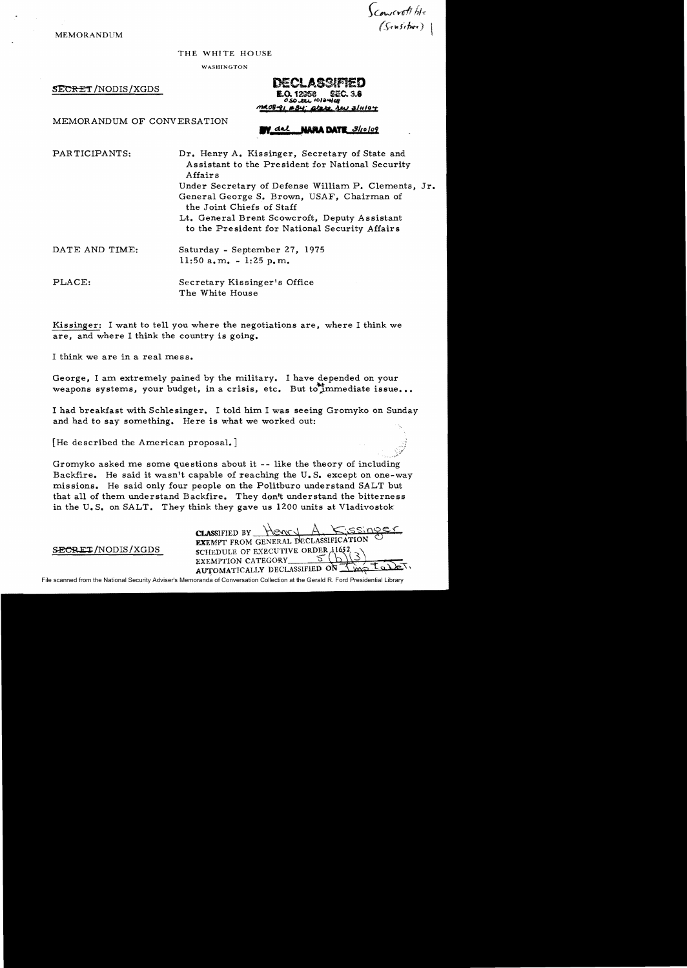MEMORANDUM

Scowcrott ble<br>(Senschiee)

THE WHITE HOUSE

WASHINGTON

SECRET/NODIS/XGDS DECLASSIFIED  $E_{Q.12368}$   $E_{C.3.8}$ tl,s,o...e:u. IOlar.tloa atate **Lew** 3/11/04

MEMORANDUM OF CONVERSATION

## **NARA DATE 3/10/09**

PAR TICIPANTS: Dr. Henry A. Kissinger, Secretary of State and Assistant to the President for National Security Affairs Under Secretary of Defense Wil1iam P. Clements, Jr. General George S. Brown, USAF, Chairman of the Joint Chiefs of Staff Lt. General Brent Scowcroft, Deputy Assistant to the President for National Security Affairs DATE AND TIME: Saturday - September 27, 1975  $11:50$  a.m.  $-1:25$  p.m.

PLACE: Secretary Kissinger's Office The White House

Kissinger: I want to tel1 you where the negotiations are, where I think we are, and where I think the country is going.

I think we are in a real mess.

George, I am extremely pained by the military. I have depended on your weapons systems, your budget, in a crisis, etc. But to immediate issue...

I had breakfast with Schlesinger. I told him I was seeing Gromyko on Sunday and had to say something. Here is what we worked out:

[He described the American proposal.]

Gromyko asked me some questions about it -- like the theory of including Backfire. He said it wasn't capable of reaching the U.S. except on one-way missions. He said only four people on the Politburo understand SALT but that all of them understand Backfire. They don't understand the bitterness in the U.S. on SALT. They think they gave us 1200 units at Vladivostok

 $\frac{1}{\text{Class}}$  FIFIED BY EXEMPT FROM GENERAL DECLASSIFICATION SECRET/NODIS/XGDS SCHEDULE OF EXECUTIVE ORDER 11652<br>EXEMPTION CATEGORY 5 (2) AUTOMATICALLY DECLASSIFIED ON

File scanned from the National Security Adviser's Memoranda of Conversation Collection at the Gerald R. Ford Presidential Library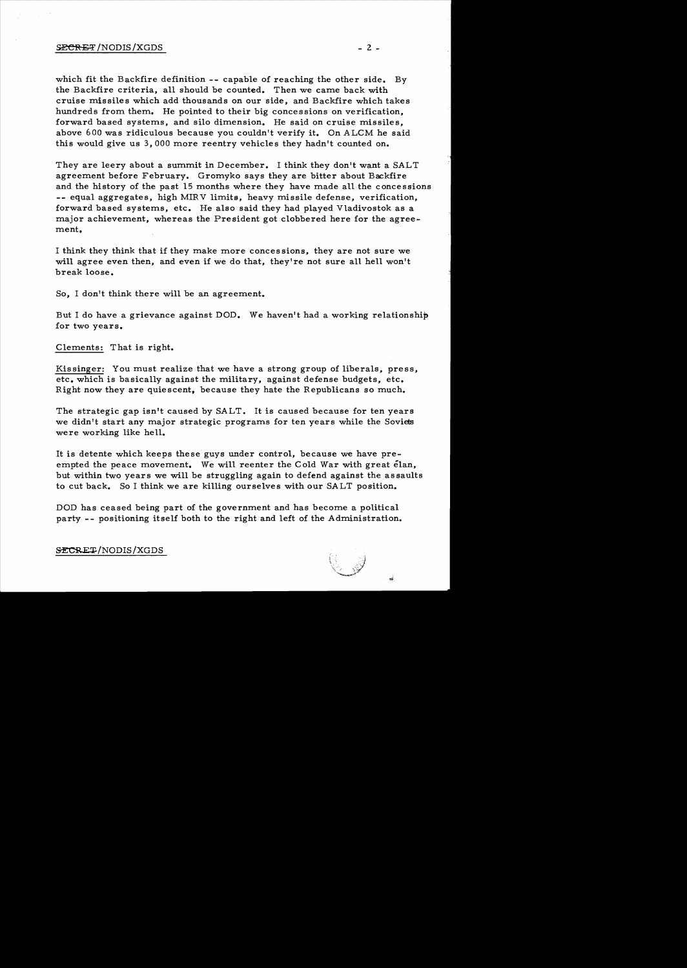### $S$ ECRET/NODIS/XGDS  $-2$  -

which fit the Backfire definition -- capable of reaching the other side. By the Backfire criteria, all should be counted. Then we came back with cruise missiles which add thousands on our side, and Backfire which takes hundreds from them. He pointed to their big concessions on verification, forward based systems, and silo dimension. He said on cruise missiles, above 600 was ridiculous because you couldn't verify it. On ALCM he said this would give us 3,000 more reentry vehicles they hadn't counted on.

They are leery about a summit in December. I think they don't want a SALT agreement before February. Gromyko says they are bitter about Backfire and the history of the past 15 months where they have made all the concessions -- equal aggregates, high MIRV limits, heavy missile defense, verification, forward based systems, etc. He also said they had played Vladivostok as a major achievement, whereas the President got clobbered here for the agreement.

I think they think that if they make more concessions, they are not sure we will agree even then, and even if we do that, they're not sure all hell won't break loose.

So, I don't think there will be an agreement.

But I do have a grievance against DOD. We haven't had a working relationship, for two years.

Clements: That is right.

Kissinger: You must realize that we have a strong group of liberals, press, etc. which is basically against the military, against defense budgets, etc. Right now they are quiescent, because they hate the Republicans so much.

The strategic gap isn't caused by SALT. It is caused because for ten years we didn't start any major strategic programs for ten years while the Soviets were working like hell.

It is detente which keeps these guys under control, because we have preempted the peace movement. We will reenter the Cold War with great elan, but within two years we will be struggling again to defend against the assaults to cut back. So I think we are killing ourselves with our SALT position.

DOD has ceased being part of the government and has become a political party -- positioning itself both to the right and left of the Administration.

SECRET/NODIS/XGDS

ŗ,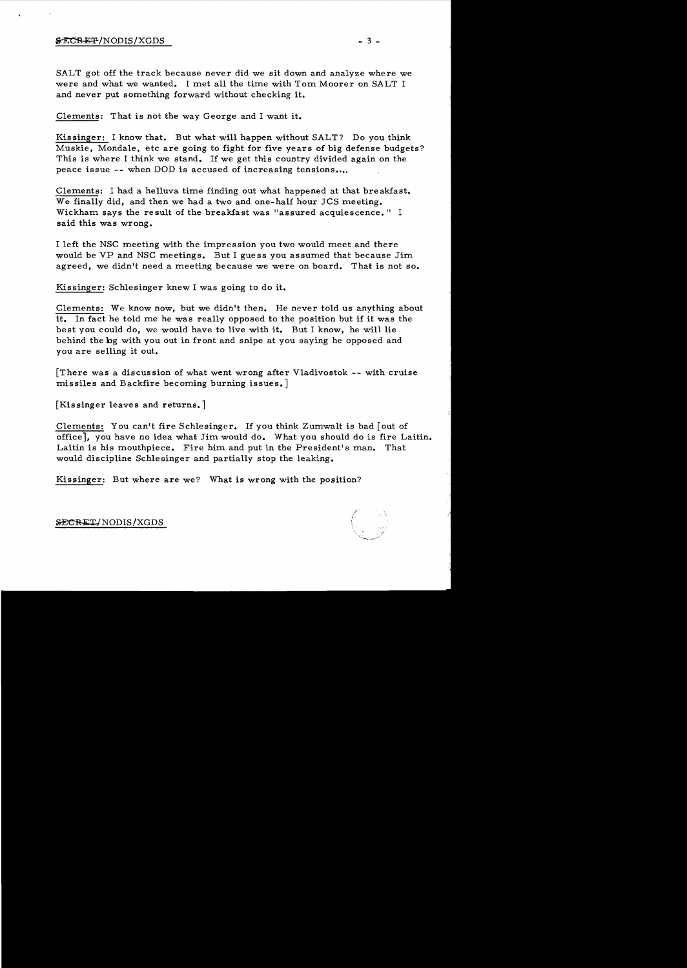## $\texttt{SECREF}/\text{NODIS}/\text{XGDS}$   $\qquad \qquad \qquad$  3 -

SALT got off the track because never did we sit down and analyze where we were and what we wanted. I met all the time with Tom Moorer on SALT I and never put something forward without checking it.

### Clements: That is not the way George and I want it.

Kissinger: I know that. But what will happen without SALT? Do you think Muskie, Mondale, etc are going to fight for five years of big defense budgets? This is where I think we stand. If we get this country divided again on the peace issue -- when DOD is accused of increasing tensions....

Clements: I had a helluva time finding out what happened at that bre akfast. We finally did, and then we had a two and one-half hour JCS meeting. Wickham says the result of the breakfast was "assured acquiescence." I said this was wrong.

I left the NSC meeting with the impression you two would meet and there would be VP and NSC meetings. But I guess you assumed that because Jim agreed, we didn't need a meeting because we were on board. That is not so.

Kissinger: Schlesinger knew I was going to do it.

Clements: We know now, but we didn't then. He never told us anything about it. In fact he told me he was really opposed to the position but if it was the best you could do, we would have to live with it. But I know, he will lie behind the bg with you out in front and snipe at you saying he opposed and you are selling it out.

[There was a discussion of what went wrong after Vladivostok -- with cruise missiles and Backfire becoming burning issues.]

[Kissinger leaves and returns.]

Clements: You can't fire Schlesinger. If you think Zumwalt is bad [out of office], you have no idea what Jim would do. What you should do is fire Laitin. Laitin is his mouthpiece. Fire him and put in the President's man. That would discipline Schlesinger and partially stop the leaking.

Kissinger: But where are we? What is wrong with the position?

SECRET/NODIS/XGDS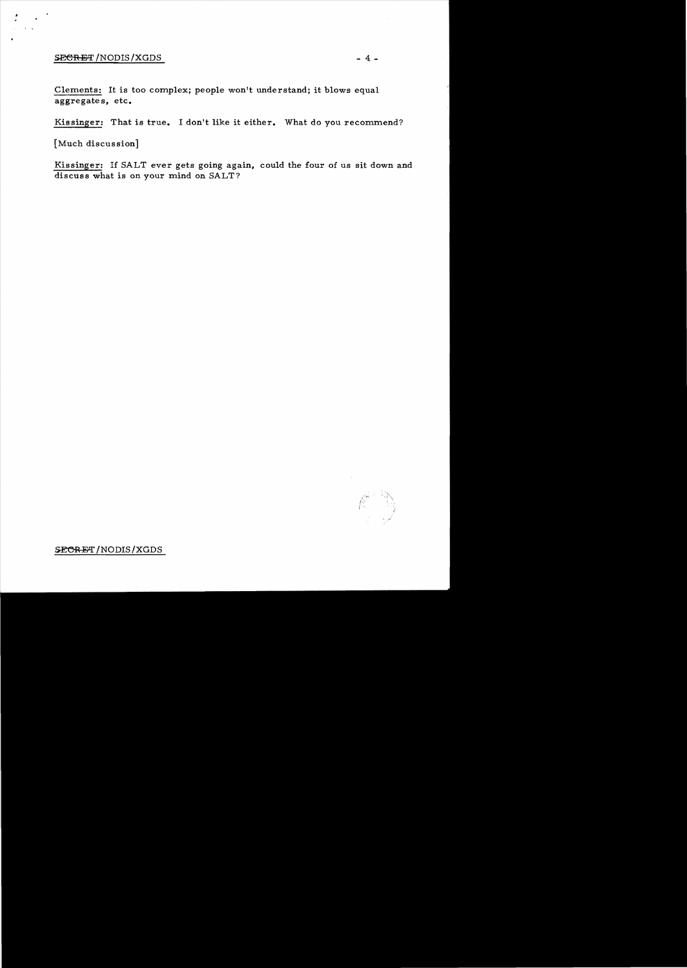# $SERET / NODIS / XGDS$  - 4; -

Clements: It is too complex; people won't understand; it blows equal aggregate s, etc.

Kissinger: That is true. I don't like it either. What do you recommend?

[Much discussion]

Kissinger: If SALT ever gets going again, could the four of us sit down and discuss what is on your mind on SALT?

SECRET/NODIS/XGDS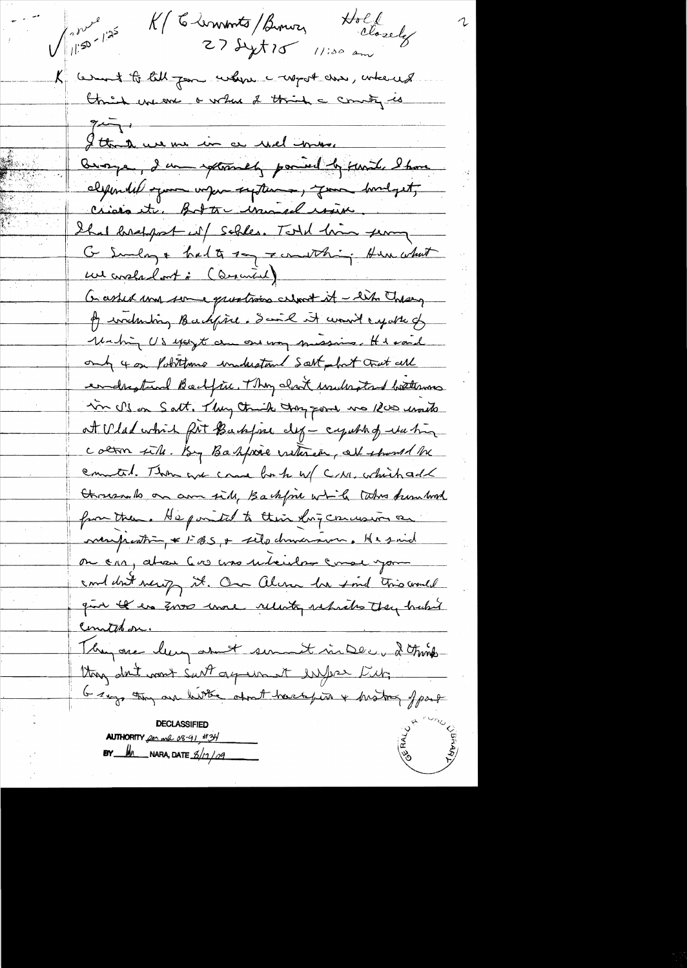Hold K/ C-lemments/Benuz  $\sqrt{\int_{0}^{2\gamma}1^{y^2}}$  $272x + 15$  11:00 a K cerent to till for where a worst chee, where of think we we a where I think a country is  $7 - 1$ Ittende une me in ce reil imme brouge, I am spleasely powered by sanit, I have eligionalité ognos voyen suptement, que bondquit, Crisis etc. Botts warned route. Shal bretopost is / Schles. Total him server G Sunlag & had to say Fermathing Hun what un constant in (Describal) Go assist my some questrois culment it - like Today of industring Backfine. Saint it would exporte of Mahing US except are one way quessions. He said only 4 on Politimes understand Solt hat trat all endrestind Bockfin, Thy clock indicated bothoms in I's on Salt. They think they gone was Rus unable at Wlad which fit Backfore clef - capabled to this colorn sile. By Bakfoie withren, all should be commental. These and come for to w/ C/M. which add threezen to on an side, Backfore while takes humbed from them. He pointed to their long concesion and mempeatrin = 1-BS, + selo dramarson, Hesnid on car, about 600 ano unheistre come your containt merity it. On Alera has find this would gun the en Zoro unse relento subsides they habit Constaban. They are leng about sur it in Dec, 2 think thoug don't want surt agreement inform they Grays thing one hitter about hackpin & history of part **DECLASSIFIED AUTHORITY** for mil 08-91, #34 **REA**  $BY$  M NARA, DATE  $3/12/09$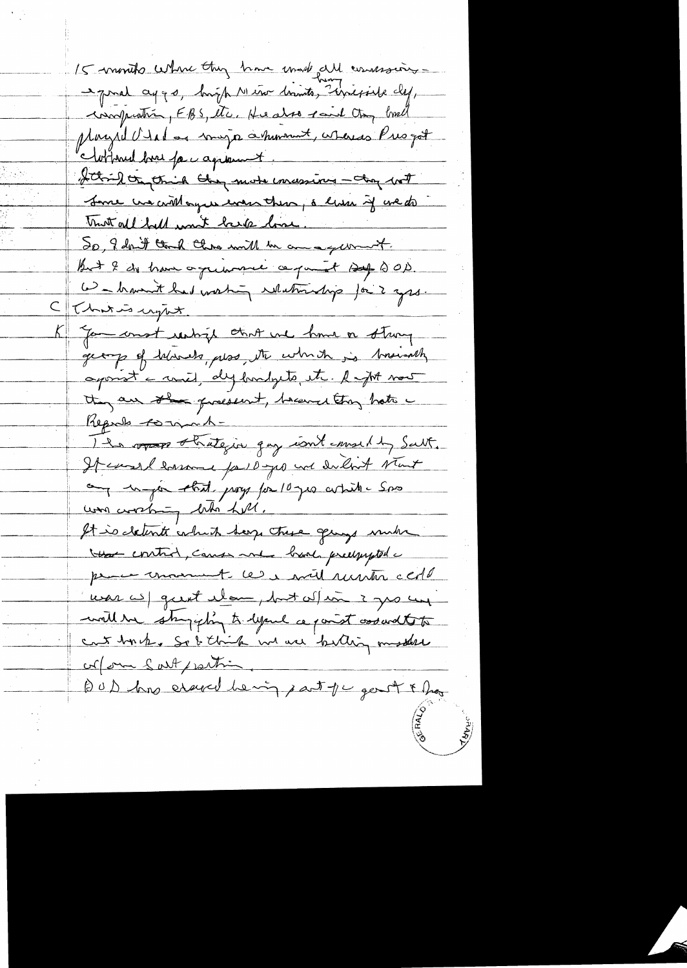15 months where they have made all comessions - prince aggs, bigh Neto brints, sincepiele def, inoprotion, FBS, etc. He also said to, breat Mayrel V tal as mayo a moment, whereas Presgot Mothered bree par agreement. thing or think they more imaging - they with Jane un crithague even these, a lum if we do mot all fall won't have love. 20, I don't tend this will be an a gum it. But I do have oguanne ce point sop 200. We haven't had working relationship for 2 grs. That is upont. Gomeond resting that we have a strong get of throats, was, the which is brainedly aponst a river, dy hundryte, etc. Rapt now they are the present, became they hate Ils ropages thategin quy intermeding Salt. It canal harmed for 10 yes and dilbert start any unique that pray for 10 year white saw was avaking bits till. It is detente which berg there gings much that control, cause me band predquipted a proces moment les avil untre certe was well great elem, but when i gro un will be shopping to lyour a point assaid to to cret by he so I think we we betting musters corpora Sart partir BUD has essent hering part of c genot & hog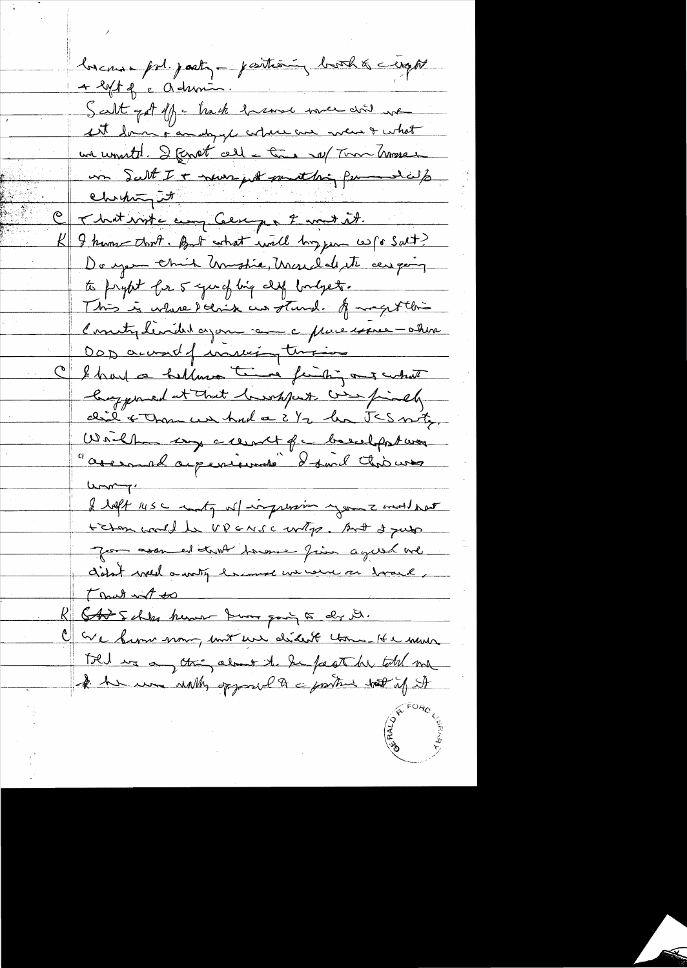because pod. posty-positioning booth & crops 4 lift of c admin. Scalit got off - track harmon were done we It down a maly gl astres are what what un unutil. I fenat call - time not Tom Trosser un Salt I + neuer port something for a dats SARA ebriting it That write any Cercy & mont it. I hume that. But what will boy few w for Salt? Do you think Unistic, Usual de et car poing to prybet for 5 young big deep bordgets. This is where deline in stund. A magest this Concity limited again come a processore - ashine Dop account of inviting tempions C'I had a hellows time finitions what hay pried at that lawshipart was finally did & Than un had a 2 1/2 hr JES moty Will sy cleared for besulpstwar assemblagements I said this was  $L_{\text{max}}$ I left use inty of impression your 2 mod hart t chan would be UP ENSC write. And I just Jean assumed truth towner from a guest we didn't well a writing her more we were an horave, That not to Stat schles herman know pary to dr it. We know now, mit we didn't tome It a move Told we any thing almost the fugto be total me A he was with apposed to a protect of it